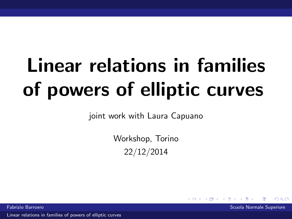# Linear relations in families of powers of elliptic curves

joint work with Laura Capuano

Workshop, Torino 22/12/2014

Fabrizio Barroero Scuola Normale Superiore

<span id="page-0-0"></span> $\Omega$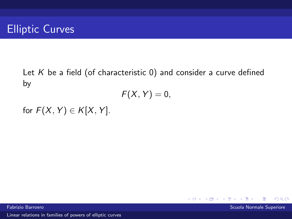Let  $K$  be a field (of characteristic 0) and consider a curve defined by

$$
F(X,Y)=0,
$$

for  $F(X, Y) \in K[X, Y]$ .

4.0.3  $\Omega$ Fabrizio Barroero Scuola Normale Superiore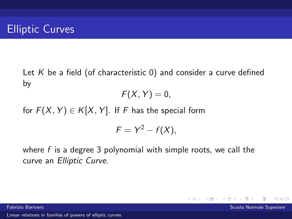Let  $K$  be a field (of characteristic 0) and consider a curve defined by

$$
F(X,Y)=0,
$$

for  $F(X, Y) \in K[X, Y]$ . If F has the special form

$$
F=Y^2-f(X),
$$

 $\Omega$ 

where  $f$  is a degree 3 polynomial with simple roots, we call the curve an Elliptic Curve.

Fabrizio Barroero Scuola Normale Superiore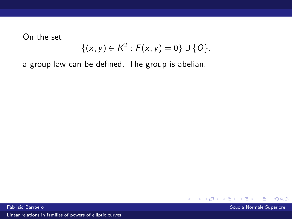On the set

$$
\{(x,y)\in K^2: F(x,y)=0\}\cup \{O\}.
$$

a group law can be defined. The group is abelian.



Fabrizio Barroero Scuola Normale Superiore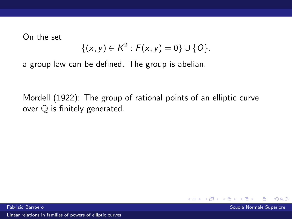On the set

$$
\{(x,y)\in K^2: F(x,y)=0\}\cup \{O\}.
$$

a group law can be defined. The group is abelian.

Mordell (1922): The group of rational points of an elliptic curve over Q is finitely generated.

Fabrizio Barroero Scuola Normale Superiore

 $\Omega$ 

**← ロ ▶ → イ 冊**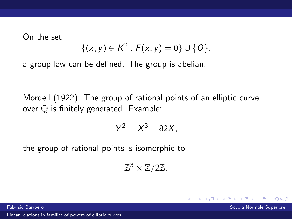On the set

$$
\{(x,y)\in K^2: F(x,y)=0\}\cup \{O\}.
$$

a group law can be defined. The group is abelian.

Mordell (1922): The group of rational points of an elliptic curve over Q is finitely generated. Example:

$$
Y^2 = X^3 - 82X,
$$

the group of rational points is isomorphic to

 $\mathbb{Z}^3 \times \mathbb{Z}/2\mathbb{Z}$ .

**←ロ ▶ ← イ 同 →** 

 $\Omega$ 

Fabrizio Barroero Scuola Normale Superiore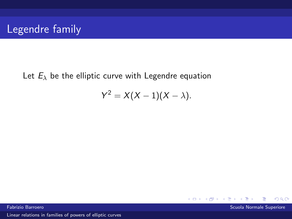Let  $E_{\lambda}$  be the elliptic curve with Legendre equation

$$
Y^2=X(X-1)(X-\lambda).
$$

Fabrizio Barroero Scuola Normale Superiore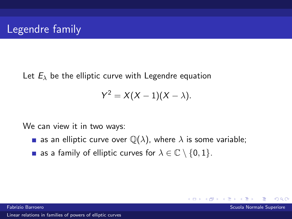Let  $E_{\lambda}$  be the elliptic curve with Legendre equation

$$
Y^2=X(X-1)(X-\lambda).
$$

We can view it in two ways:

**a** as an elliptic curve over  $\mathbb{Q}(\lambda)$ , where  $\lambda$  is some variable;

4. 0. 8.

 $\Omega$ 

as a family of elliptic curves for  $\lambda \in \mathbb{C} \setminus \{0,1\}.$ 

Fabrizio Barroero Scuola Normale Superiore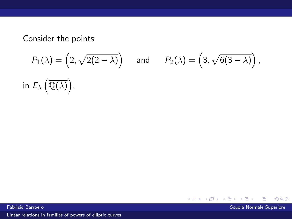$$
P_1(\lambda) = \left(2, \sqrt{2(2-\lambda)}\right) \quad \text{and} \quad P_2(\lambda) = \left(3, \sqrt{6(3-\lambda)}\right),
$$
  
in  $E_\lambda\left(\overline{\mathbb{Q}(\lambda)}\right)$ .

Fabrizio Barroero Scuola Normale Superiore

注

 $299$ 

∍

**K ロ ▶ K 倒 ▶ K**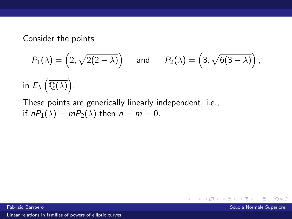$$
P_1(\lambda) = \left(2, \sqrt{2(2-\lambda)}\right) \quad \text{and} \quad P_2(\lambda) = \left(3, \sqrt{6(3-\lambda)}\right),
$$
  
in  $E_{\lambda}(\overline{\mathbb{Q}(\lambda)})$ .

These points are generically linearly independent, i.e., if  $nP_1(\lambda) = mP_2(\lambda)$  then  $n = m = 0$ .

Fabrizio Barroero Scuola Normale Superiore

 $\Omega$ 

4.0.3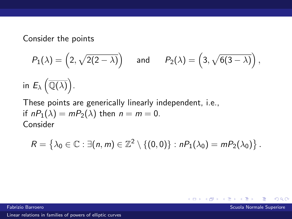$$
P_1(\lambda) = \left(2, \sqrt{2(2-\lambda)}\right) \quad \text{and} \quad P_2(\lambda) = \left(3, \sqrt{6(3-\lambda)}\right),
$$
  
in  $E_{\lambda}(\overline{\mathbb{Q}(\lambda)})$ .

These points are generically linearly independent, i.e., if  $nP_1(\lambda) = mP_2(\lambda)$  then  $n = m = 0$ . Consider

$$
R = \left\{ \lambda_0 \in \mathbb{C} : \exists (n, m) \in \mathbb{Z}^2 \setminus \{ (0, 0) \} : nP_1(\lambda_0) = mP_2(\lambda_0) \right\}.
$$

 $\leftarrow$   $\Box$ ∢ 何

Fabrizio Barroero Scuola Normale Superiore

 $\Omega$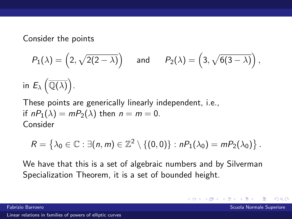$$
P_1(\lambda) = \left(2, \sqrt{2(2-\lambda)}\right) \quad \text{and} \quad P_2(\lambda) = \left(3, \sqrt{6(3-\lambda)}\right),
$$
  
in  $E_{\lambda}(\overline{\mathbb{Q}(\lambda)})$ .

These points are generically linearly independent, i.e., if  $nP_1(\lambda) = mP_2(\lambda)$  then  $n = m = 0$ . Consider

$$
R = \left\{ \lambda_0 \in \mathbb{C} : \exists (n, m) \in \mathbb{Z}^2 \setminus \{ (0, 0) \} : nP_1(\lambda_0) = mP_2(\lambda_0) \right\}.
$$

We have that this is a set of algebraic numbers and by Silverman Specialization Theorem, it is a set of bounded height.

4. 0. 8.

 $\Omega$ 

Fabrizio Barroero Scuola Normale Superiore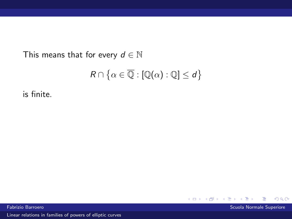This means that for every  $d \in \mathbb{N}$ 

$$
R \cap \big\{\alpha \in \overline{\mathbb{Q}} : [\mathbb{Q}(\alpha) : \mathbb{Q}] \leq d\big\}
$$

is finite.



Fabrizio Barroero Scuola Normale Superiore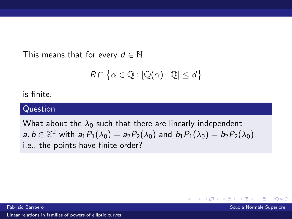This means that for every  $d \in \mathbb{N}$ 

$$
R\cap\big\{\alpha\in\overline{\mathbb{Q}}: [\mathbb{Q}(\alpha):\mathbb{Q}]\leq d\big\}
$$

is finite.

#### Question

What about the  $\lambda_0$  such that there are linearly independent  $a, b \in \mathbb{Z}^2$  with  $a_1 P_1(\lambda_0) = a_2 P_2(\lambda_0)$  and  $b_1 P_1(\lambda_0) = b_2 P_2(\lambda_0)$ , i.e., the points have finite order?

Fabrizio Barroero Scuola Normale Superiore

 $\Omega$ 

 $\leftarrow$   $\Box$   $\rightarrow$   $\rightarrow$   $\Box$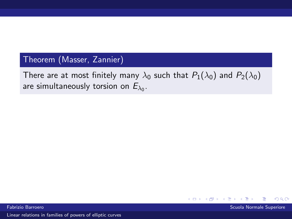#### Theorem (Masser, Zannier)

There are at most finitely many  $\lambda_0$  such that  $P_1(\lambda_0)$  and  $P_2(\lambda_0)$ are simultaneously torsion on  $E_{\lambda_0}.$ 



Fabrizio Barroero Scuola Normale Superiore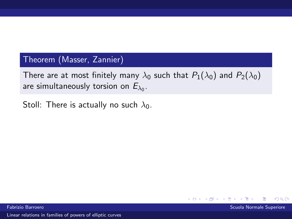#### Theorem (Masser, Zannier)

There are at most finitely many  $\lambda_0$  such that  $P_1(\lambda_0)$  and  $P_2(\lambda_0)$ are simultaneously torsion on  $E_{\lambda_0}.$ 

Stoll: There is actually no such  $\lambda_0$ .

**←ロ ▶ ← イ 同 →**  $\Omega$ 

Fabrizio Barroero Scuola Normale Superiore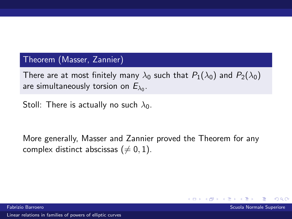#### Theorem (Masser, Zannier)

There are at most finitely many  $\lambda_0$  such that  $P_1(\lambda_0)$  and  $P_2(\lambda_0)$ are simultaneously torsion on  $E_{\lambda_0}.$ 

Stoll: There is actually no such  $\lambda_0$ .

More generally, Masser and Zannier proved the Theorem for any complex distinct abscissas ( $\neq 0, 1$ ).

Fabrizio Barroero Scuola Normale Superiore

 $\Omega$ 

( □ ) ( <sub>①</sub> )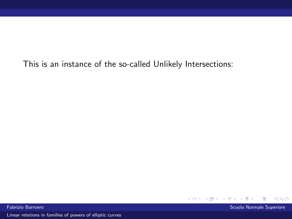K ロ ▶ K 伊 ▶  $299$ 

Fabrizio Barroero Scuola Normale Superiore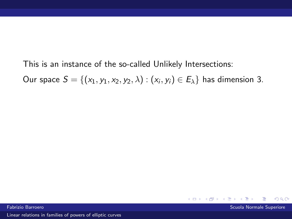Our space  $S = \{(x_1,y_1,x_2,y_2,\lambda): (x_i,y_i) \in E_{\lambda}\}$  has dimension 3.



Fabrizio Barroero Scuola Normale Superiore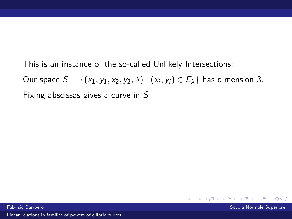Our space  $S = \{(x_1,y_1,x_2,y_2,\lambda): (x_i,y_i) \in E_{\lambda}\}$  has dimension 3. Fixing abscissas gives a curve in S.



 $\Omega$ 

 $\leftarrow$   $\Box$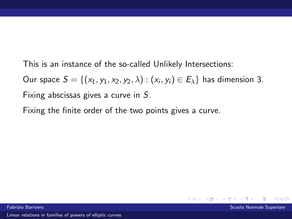Our space  $S = \{(x_1,y_1,x_2,y_2,\lambda): (x_i,y_i) \in E_{\lambda}\}$  has dimension 3. Fixing abscissas gives a curve in S.

Fixing the finite order of the two points gives a curve.

4. 0. 8.  $\Omega$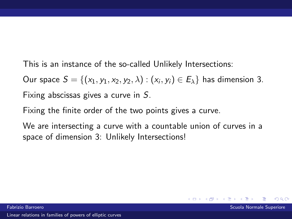Our space  $S = \{(x_1,y_1,x_2,y_2,\lambda): (x_i,y_i) \in E_{\lambda}\}$  has dimension 3. Fixing abscissas gives a curve in S.

Fixing the finite order of the two points gives a curve.

We are intersecting a curve with a countable union of curves in a space of dimension 3: Unlikely Intersections!

 $\Omega$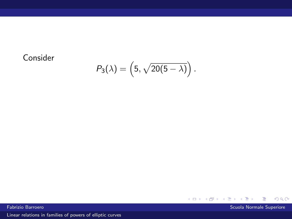## Consider

$$
P_3(\lambda)=\left(5,\sqrt{20(5-\lambda)}\right).
$$

 $\rightarrow$   $\equiv$   $\rightarrow$ Fabrizio Barroero Scuola Normale Superiore (Scuola Normale Superiore Scuola Normale Superiore Scuola Normale Superiore

É

 $299$ 

**K ロ ト K 御 ト K 差 ト**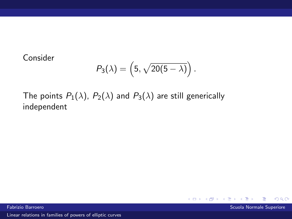Consider

$$
P_3(\lambda) = \left(5, \sqrt{20(5-\lambda)}\right).
$$

The points  $P_1(\lambda)$ ,  $P_2(\lambda)$  and  $P_3(\lambda)$  are still generically independent



i Fabrizio Barroero dell'altri di stato di stato di stato di stato di stato di stato di Scuola Normale Superiore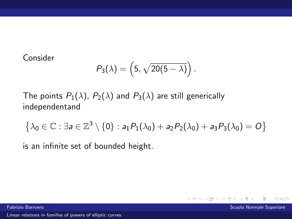Consider

$$
P_3(\lambda) = \left(5, \sqrt{20(5-\lambda)}\right).
$$

The points  $P_1(\lambda)$ ,  $P_2(\lambda)$  and  $P_3(\lambda)$  are still generically independentand

$$
\left\{\lambda_0\in\mathbb{C}:\exists a\in\mathbb{Z}^3\setminus\{0\}:a_1P_1(\lambda_0)+a_2P_2(\lambda_0)+a_3P_3(\lambda_0)=O\right\}
$$

is an infinite set of bounded height.

 $\Omega$ 

 $\leftarrow$   $\Box$   $\rightarrow$   $\leftarrow$   $\rightarrow$   $\rightarrow$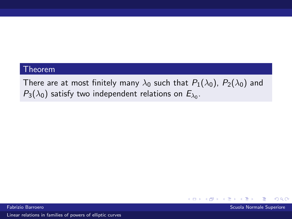#### Theorem

There are at most finitely many  $\lambda_0$  such that  $P_1(\lambda_0)$ ,  $P_2(\lambda_0)$  and  $P_3(\lambda_0)$  satisfy two independent relations on  $E_{\lambda_0}$ .





 $\Omega$ 

K ロ ▶ K @ ▶ K 점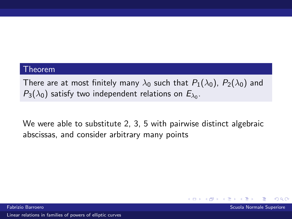#### Theorem

There are at most finitely many  $\lambda_0$  such that  $P_1(\lambda_0)$ ,  $P_2(\lambda_0)$  and  $P_3(\lambda_0)$  satisfy two independent relations on  $E_{\lambda_0}$ .

We were able to substitute 2, 3, 5 with pairwise distinct algebraic abscissas, and consider arbitrary many points



 $\Omega$ 

( □ ) ( <sub>①</sub> )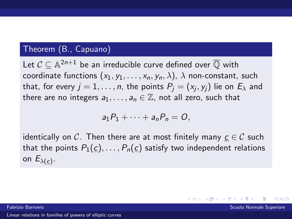#### Theorem (B., Capuano)

Let  $\mathcal{C} \subseteq \mathbb{A}^{2n+1}$  be an irreducible curve defined over  $\overline{\mathbb{Q}}$  with coordinate functions  $(x_1, y_1, \ldots, x_n, y_n, \lambda)$ ,  $\lambda$  non-constant, such that, for every  $j=1,\ldots,n$ , the points  $P_j=(\mathsf{x}_j,\mathsf{y}_j)$  lie on  $E_\lambda$  and there are no integers  $a_1, \ldots, a_n \in \mathbb{Z}$ , not all zero, such that

$$
a_1P_1+\cdots+a_nP_n=O,
$$

identically on C. Then there are at most finitely many  $c \in \mathcal{C}$  such that the points  $P_1(c), \ldots, P_n(c)$  satisfy two independent relations on  $E_{\lambda(\underline{c})}$ .

Fabrizio Barroero Scuola Normale Superiore

メロメ メタメ メミメ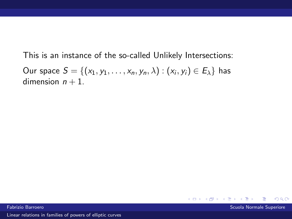Our space  $\mathcal{S} = \{ (x_1, y_1, \ldots, x_n, y_n, \lambda) : (x_i, y_i) \in E_{\lambda} \}$  has dimension  $n + 1$ .

> $\leftarrow$   $\Box$   $\rightarrow$   $\leftarrow$   $\leftarrow$   $\rightarrow$  $\Omega$

Fabrizio Barroero Scuola Normale Superiore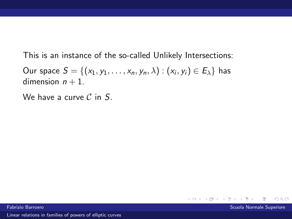Our space  $\mathcal{S} = \{ (x_1, y_1, \ldots, x_n, y_n, \lambda) : (x_i, y_i) \in E_{\lambda} \}$  has dimension  $n + 1$ .

We have a curve  $\mathcal C$  in  $S$ .

Fabrizio Barroero Scuola Normale Superiore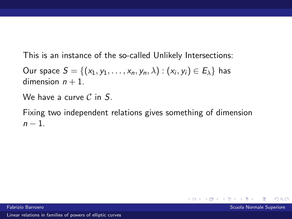Our space  $\mathcal{S} = \{ (x_1, y_1, \ldots, x_n, y_n, \lambda) : (x_i, y_i) \in E_{\lambda} \}$  has dimension  $n + 1$ .

We have a curve  $\mathcal C$  in  $S$ .

Fixing two independent relations gives something of dimension  $n-1$ 



 $\Omega$ 

**←ロ ▶ ← イ 同 →**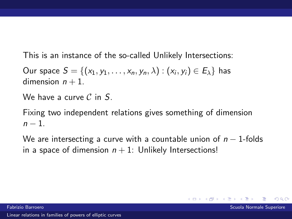Our space  $\mathcal{S} = \{ (x_1, y_1, \ldots, x_n, y_n, \lambda) : (x_i, y_i) \in E_{\lambda} \}$  has dimension  $n + 1$ .

We have a curve  $\mathcal C$  in  $S$ .

Fixing two independent relations gives something of dimension  $n-1$ 

We are intersecting a curve with a countable union of  $n-1$ -folds in a space of dimension  $n + 1$ : Unlikely Intersections!

 $\Omega$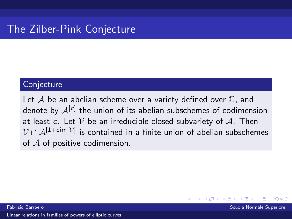# The Zilber-Pink Conjecture

#### **Conjecture**

Let  $A$  be an abelian scheme over a variety defined over  $\mathbb C$ , and denote by  ${\cal A}^{\rm [c]}$  the union of its abelian subschemes of codimension at least c. Let  $V$  be an irreducible closed subvariety of  $A$ . Then  $\mathcal{V}\cap\mathcal{A}^{[1+\mathsf{dim}\;\mathcal{V}]}$  is contained in a finite union of abelian subschemes of  $A$  of positive codimension.